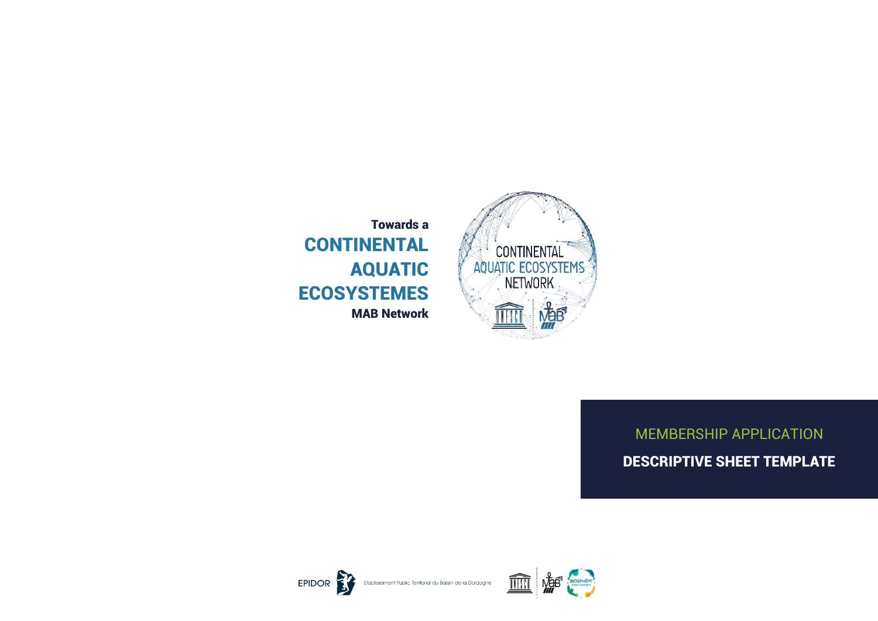

Towards a **CONTINENTAL** AQUATIC ECOSYSTEMES MAB Network

# MEMBERSHIP APPLICATION DESCRIPTIVE SHEET TEMPLATE

EPIDOR **BY** 



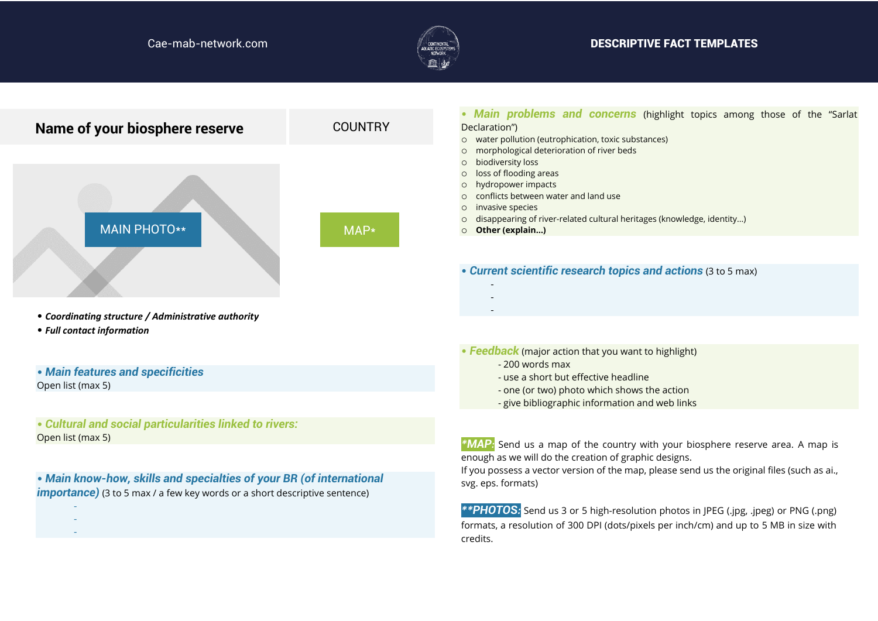

# Cae-mab-network.com and the community of the community of the community of the community of the community of the community of the community of the community of the community of the community of the community of the communi

| Name of your biosphere reserve                                                                                                                                                                                                            | <b>COUNTRY</b>                                                                                                                                                                                                                                                                  | • Main problems and concerns (highlight topics among those of the "Sarlat<br>Declaration")<br>o water pollution (eutrophication, toxic substances)<br>morphological deterioration of river beds                                                             |
|-------------------------------------------------------------------------------------------------------------------------------------------------------------------------------------------------------------------------------------------|---------------------------------------------------------------------------------------------------------------------------------------------------------------------------------------------------------------------------------------------------------------------------------|-------------------------------------------------------------------------------------------------------------------------------------------------------------------------------------------------------------------------------------------------------------|
| <b>MAIN PHOTO**</b>                                                                                                                                                                                                                       | biodiversity loss<br>$\Omega$<br>loss of flooding areas<br>$\circ$<br>hydropower impacts<br>$\circ$<br>conflicts between water and land use<br>invasive species<br>disappearing of river-related cultural heritages (knowledge, identity)<br>MAP*<br>Other (explain)<br>$\circ$ |                                                                                                                                                                                                                                                             |
|                                                                                                                                                                                                                                           |                                                                                                                                                                                                                                                                                 | • Current scientific research topics and actions (3 to 5 max)                                                                                                                                                                                               |
| • Coordinating structure / Administrative authority<br>• Full contact information                                                                                                                                                         |                                                                                                                                                                                                                                                                                 |                                                                                                                                                                                                                                                             |
| • Main features and specificities<br>Open list (max 5)                                                                                                                                                                                    |                                                                                                                                                                                                                                                                                 | • Feedback (major action that you want to highlight)<br>- 200 words max<br>- use a short but effective headline<br>- one (or two) photo which shows the action<br>- give bibliographic information and web links                                            |
| • Cultural and social particularities linked to rivers:<br>Open list (max 5)<br>. Main know-how, skills and specialties of your BR (of international<br><b>importance)</b> (3 to 5 max / a few key words or a short descriptive sentence) |                                                                                                                                                                                                                                                                                 | *MAP: Send us a map of the country with your biosphere reserve area. A map is<br>enough as we will do the creation of graphic designs.<br>If you possess a vector version of the map, please send us the original files (such as ai.,<br>svg. eps. formats) |
|                                                                                                                                                                                                                                           |                                                                                                                                                                                                                                                                                 | <b>**PHOTOS:</b> Send us 3 or 5 high-resolution photos in JPEG (.jpg, .jpeg) or PNG (.png)<br>formats, a resolution of 300 DPI (dots/pixels per inch/cm) and up to 5 MB in size with<br>credits.                                                            |